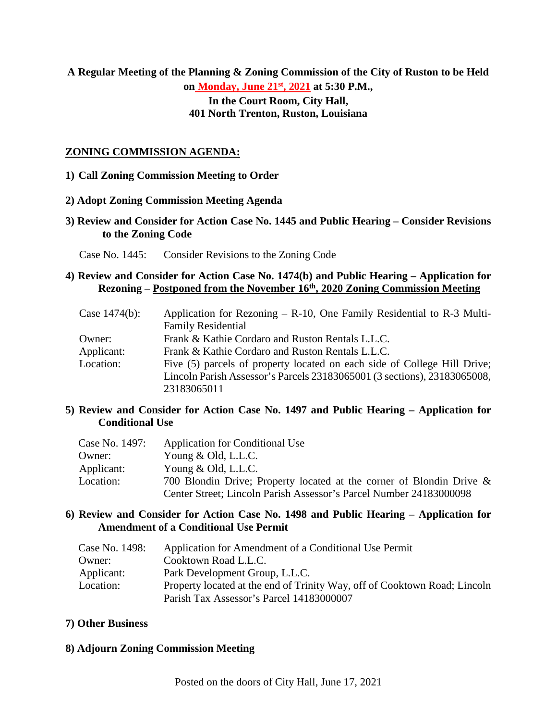# **A Regular Meeting of the Planning & Zoning Commission of the City of Ruston to be Held**

**on Monday, June 21st, 2021 at 5:30 P.M.,**

**In the Court Room, City Hall, 401 North Trenton, Ruston, Louisiana**

# **ZONING COMMISSION AGENDA:**

# **1) Call Zoning Commission Meeting to Order**

#### **2) Adopt Zoning Commission Meeting Agenda**

- **3) Review and Consider for Action Case No. 1445 and Public Hearing – Consider Revisions to the Zoning Code** 
	- Case No. 1445: Consider Revisions to the Zoning Code

# **4) Review and Consider for Action Case No. 1474(b) and Public Hearing – Application for Rezoning – Postponed from the November 16th, 2020 Zoning Commission Meeting**

| Case $1474(b)$ : | Application for Rezoning $-$ R-10, One Family Residential to R-3 Multi-  |
|------------------|--------------------------------------------------------------------------|
|                  | <b>Family Residential</b>                                                |
| Owner:           | Frank & Kathie Cordaro and Ruston Rentals L.L.C.                         |
| Applicant:       | Frank & Kathie Cordaro and Ruston Rentals L.L.C.                         |
| Location:        | Five (5) parcels of property located on each side of College Hill Drive; |
|                  | Lincoln Parish Assessor's Parcels 23183065001 (3 sections), 23183065008, |
|                  | 23183065011                                                              |

#### **5) Review and Consider for Action Case No. 1497 and Public Hearing – Application for Conditional Use**

| Case No. 1497: | Application for Conditional Use                                         |
|----------------|-------------------------------------------------------------------------|
| Owner:         | Young $&$ Old, L.L.C.                                                   |
| Applicant:     | Young $&$ Old, L.L.C.                                                   |
| Location:      | 700 Blondin Drive; Property located at the corner of Blondin Drive $\&$ |
|                | Center Street; Lincoln Parish Assessor's Parcel Number 24183000098      |

#### **6) Review and Consider for Action Case No. 1498 and Public Hearing – Application for Amendment of a Conditional Use Permit**

| Case No. 1498: | Application for Amendment of a Conditional Use Permit                     |
|----------------|---------------------------------------------------------------------------|
| Owner:         | Cooktown Road L.L.C.                                                      |
| Applicant:     | Park Development Group, L.L.C.                                            |
| Location:      | Property located at the end of Trinity Way, off of Cooktown Road; Lincoln |
|                | Parish Tax Assessor's Parcel 14183000007                                  |

# **7) Other Business**

#### **8) Adjourn Zoning Commission Meeting**